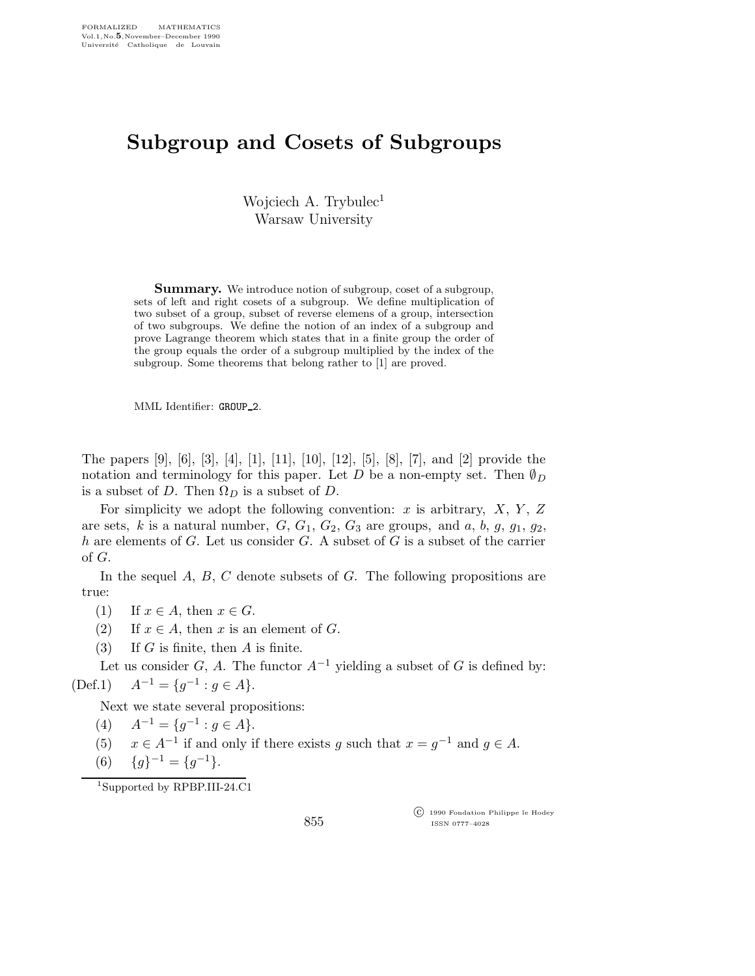## Subgroup and Cosets of Subgroups

Wojciech A. Trybulec<sup>1</sup> Warsaw University

**Summary.** We introduce notion of subgroup, coset of a subgroup, sets of left and right cosets of a subgroup. We define multiplication of two subset of a group, subset of reverse elemens of a group, intersection of two subgroups. We define the notion of an index of a subgroup and prove Lagrange theorem which states that in a finite group the order of the group equals the order of a subgroup multiplied by the index of the subgroup. Some theorems that belong rather to [1] are proved.

MML Identifier: GROUP 2.

The papers [9], [6], [3], [4], [1], [11], [10], [12], [5], [8], [7], and [2] provide the notation and terminology for this paper. Let D be a non-empty set. Then  $\emptyset_D$ is a subset of D. Then  $\Omega_D$  is a subset of D.

For simplicity we adopt the following convention:  $x$  is arbitrary,  $X$ ,  $Y$ ,  $Z$ are sets, k is a natural number,  $G$ ,  $G_1$ ,  $G_2$ ,  $G_3$  are groups, and a, b, g,  $g_1$ ,  $g_2$ , h are elements of G. Let us consider G. A subset of G is a subset of the carrier of G.

In the sequel  $A, B, C$  denote subsets of  $G$ . The following propositions are true:

- (1) If  $x \in A$ , then  $x \in G$ .
- (2) If  $x \in A$ , then x is an element of G.
- (3) If  $G$  is finite, then  $A$  is finite.

Let us consider G, A. The functor  $A^{-1}$  yielding a subset of G is defined by: (Def.1)  $A^{-1} = \{g^{-1} : g \in A\}.$ 

Next we state several propositions:

(4) 
$$
A^{-1} = \{g^{-1} : g \in A\}.
$$

(5)  $x \in A^{-1}$  if and only if there exists g such that  $x = g^{-1}$  and  $g \in A$ .

(6) 
$$
\{g\}^{-1} = \{g^{-1}\}.
$$

<sup>1</sup>Supported by RPBP.III-24.C1

 c 1990 Fondation Philippe le Hodey ISSN 0777–4028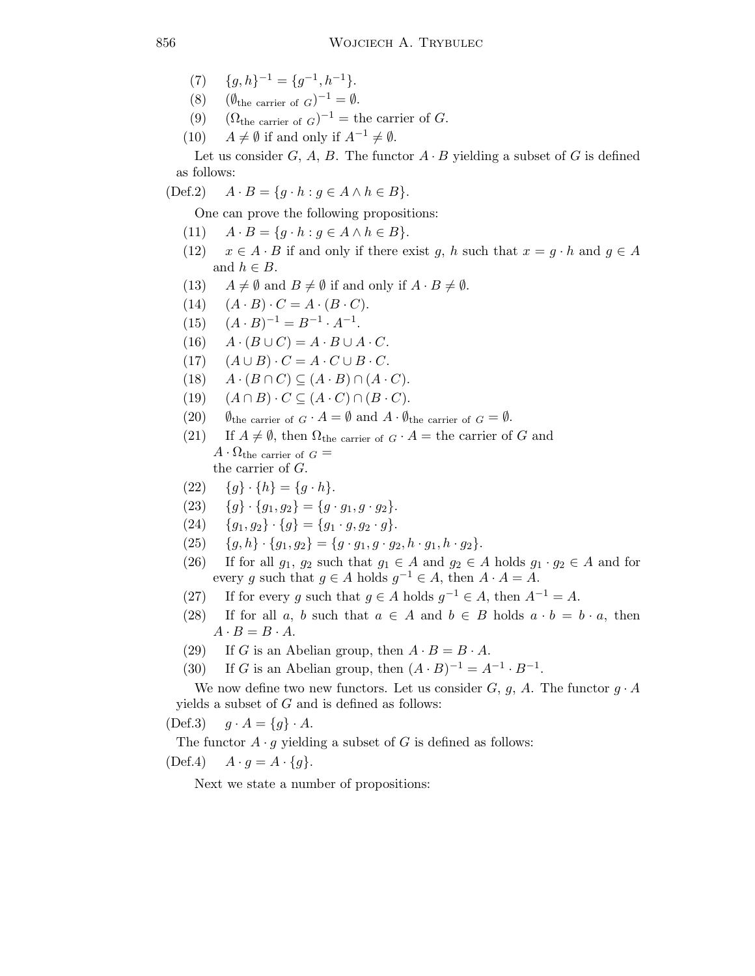- (7)  ${g,h}^{-1} = {g^{-1}, h^{-1}}.$
- (8)  $(\emptyset_{\text{the carrier of } G})^{-1} = \emptyset.$
- (9)  $(\Omega_{\text{the carrier of } G})^{-1} = \text{the carrier of } G.$
- (10)  $A \neq \emptyset$  if and only if  $A^{-1} \neq \emptyset$ .

Let us consider  $G$ ,  $A$ ,  $B$ . The functor  $A \cdot B$  yielding a subset of  $G$  is defined as follows:

$$
(Def.2) \quad A \cdot B = \{ g \cdot h : g \in A \land h \in B \}.
$$

One can prove the following propositions:

- (11)  $A \cdot B = \{g \cdot h : g \in A \land h \in B\}.$
- (12)  $x \in A \cdot B$  if and only if there exist g, h such that  $x = g \cdot h$  and  $g \in A$ and  $h \in B$ .
- (13)  $A \neq \emptyset$  and  $B \neq \emptyset$  if and only if  $A \cdot B \neq \emptyset$ .
- (14)  $(A \cdot B) \cdot C = A \cdot (B \cdot C).$
- (15)  $(A \cdot B)^{-1} = B^{-1} \cdot A^{-1}.$
- (16)  $A \cdot (B \cup C) = A \cdot B \cup A \cdot C$ .
- $(17)$   $(A \cup B) \cdot C = A \cdot C \cup B \cdot C$ .
- (18)  $A \cdot (B \cap C) \subseteq (A \cdot B) \cap (A \cdot C).$
- (19)  $(A \cap B) \cdot C \subseteq (A \cdot C) \cap (B \cdot C).$
- (20)  $\emptyset$ <sub>the carrier of  $G \cdot A = \emptyset$  and  $A \cdot \emptyset$ <sub>the carrier of  $G = \emptyset$ .</sub></sub>
- (21) If  $A \neq \emptyset$ , then  $\Omega_{\text{the carrier of } G} \cdot A = \text{the carrier of } G$  and  $A \cdot \Omega_{\text{the carrier of } G} =$ the carrier of G.
- (22)  ${g} \cdot {h} = {g \cdot h}.$
- (23)  $\{g\} \cdot \{g_1, g_2\} = \{g \cdot g_1, g \cdot g_2\}.$
- (24)  $\{g_1,g_2\} \cdot \{g\} = \{g_1 \cdot g, g_2 \cdot g\}.$
- (25)  ${g,h} \cdot {g_1,g_2} = {g \cdot g_1, g \cdot g_2, h \cdot g_1, h \cdot g_2}.$
- (26) If for all  $g_1, g_2$  such that  $g_1 \in A$  and  $g_2 \in A$  holds  $g_1 \cdot g_2 \in A$  and for every g such that  $g \in A$  holds  $g^{-1} \in A$ , then  $A \cdot A = A$ .
- (27) If for every g such that  $g \in A$  holds  $g^{-1} \in A$ , then  $A^{-1} = A$ .
- (28) If for all a, b such that  $a \in A$  and  $b \in B$  holds  $a \cdot b = b \cdot a$ , then  $A \cdot B = B \cdot A$ .
- (29) If G is an Abelian group, then  $A \cdot B = B \cdot A$ .
- (30) If G is an Abelian group, then  $(A \cdot B)^{-1} = A^{-1} \cdot B^{-1}$ .

We now define two new functors. Let us consider  $G, g, A$ . The functor  $g \cdot A$ yields a subset of  $G$  and is defined as follows:

(Def.3)  $g \cdot A = \{g\} \cdot A$ .

The functor  $A \cdot g$  yielding a subset of G is defined as follows:

(Def.4)  $A \cdot g = A \cdot \{g\}.$ 

Next we state a number of propositions: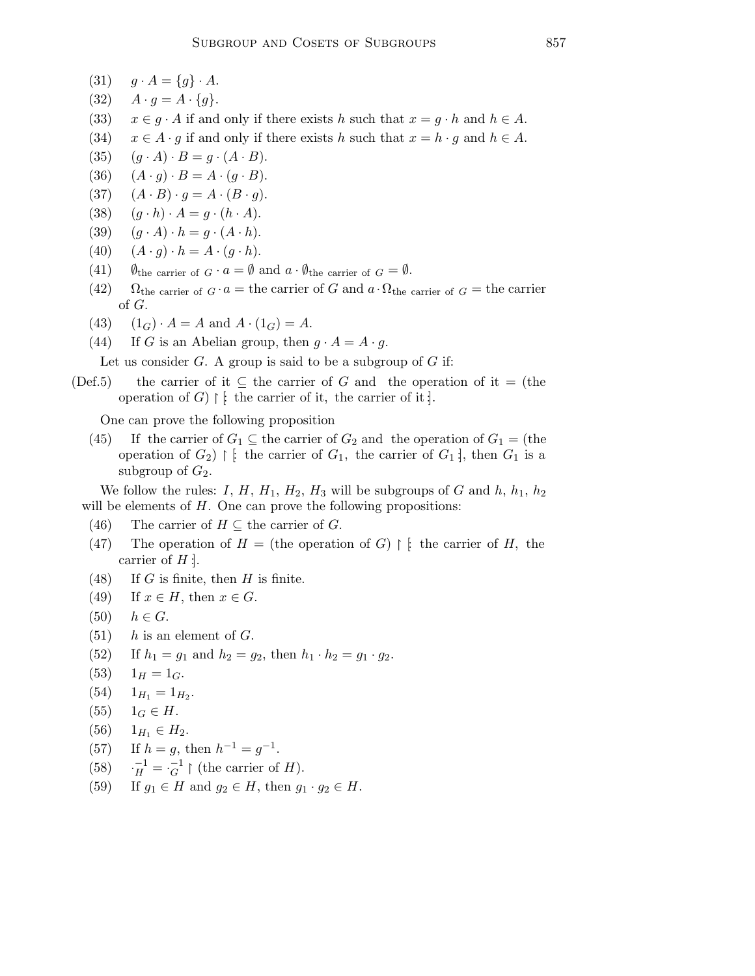- (31)  $g \cdot A = \{g\} \cdot A$ .
- (32)  $A \cdot g = A \cdot \{g\}.$
- (33)  $x \in g \cdot A$  if and only if there exists h such that  $x = g \cdot h$  and  $h \in A$ .
- (34)  $x \in A \cdot g$  if and only if there exists h such that  $x = h \cdot g$  and  $h \in A$ .
- (35)  $(g \cdot A) \cdot B = g \cdot (A \cdot B).$
- (36)  $(A \cdot q) \cdot B = A \cdot (q \cdot B).$
- (37)  $(A \cdot B) \cdot g = A \cdot (B \cdot g)$ .
- (38)  $(q \cdot h) \cdot A = q \cdot (h \cdot A).$
- (39)  $(g \cdot A) \cdot h = g \cdot (A \cdot h).$
- (40)  $(A \cdot g) \cdot h = A \cdot (g \cdot h).$
- (41)  $\emptyset_{\text{the carrier of } G} \cdot a = \emptyset \text{ and } a \cdot \emptyset_{\text{the carrier of } G} = \emptyset.$
- (42)  $\Omega_{\text{the carrier of } G} \cdot a = \text{the carrier of } G \text{ and } a \cdot \Omega_{\text{the carrier of } G} = \text{the carrier}$ of G.
- (43)  $(1_G) \cdot A = A$  and  $A \cdot (1_G) = A$ .
- (44) If G is an Abelian group, then  $g \cdot A = A \cdot g$ .

Let us consider  $G$ . A group is said to be a subgroup of  $G$  if:

(Def.5) the carrier of it  $\subseteq$  the carrier of G and the operation of it = (the operation of  $G$ )  $\restriction$  [: the carrier of it, the carrier of it :].

One can prove the following proposition

(45) If the carrier of  $G_1 \subseteq$  the carrier of  $G_2$  and the operation of  $G_1 =$  (the operation of  $G_2$ ) | | the carrier of  $G_1$ , the carrier of  $G_1$  |, then  $G_1$  is a subgroup of  $G_2$ .

We follow the rules: I, H,  $H_1$ ,  $H_2$ ,  $H_3$  will be subgroups of G and  $h$ ,  $h_1$ ,  $h_2$ will be elements of  $H$ . One can prove the following propositions:

- (46) The carrier of  $H \subseteq$  the carrier of G.
- (47) The operation of  $H =$  (the operation of G)  $\upharpoonright$  is the carrier of H, the carrier of  $H$  :
- (48) If G is finite, then H is finite.
- (49) If  $x \in H$ , then  $x \in G$ .
- (50)  $h \in G$ .
- $(51)$  h is an element of G.
- (52) If  $h_1 = g_1$  and  $h_2 = g_2$ , then  $h_1 \cdot h_2 = g_1 \cdot g_2$ .
- $(53)$   $1_H = 1_G$ .

$$
(54) \t 1_{H_1} = 1_{H_2}.
$$

- (55)  $1_G \in H$ .
- $(56)$  1<sub>H<sub>1</sub></sub>  $\in$  H<sub>2</sub>.
- (57) If  $h = g$ , then  $h^{-1} = g^{-1}$ .
- $(58)$  $\overline{H}^{-1} = \overline{G}^{-1}$  | (the carrier of H).
- (59) If  $g_1 \in H$  and  $g_2 \in H$ , then  $g_1 \cdot g_2 \in H$ .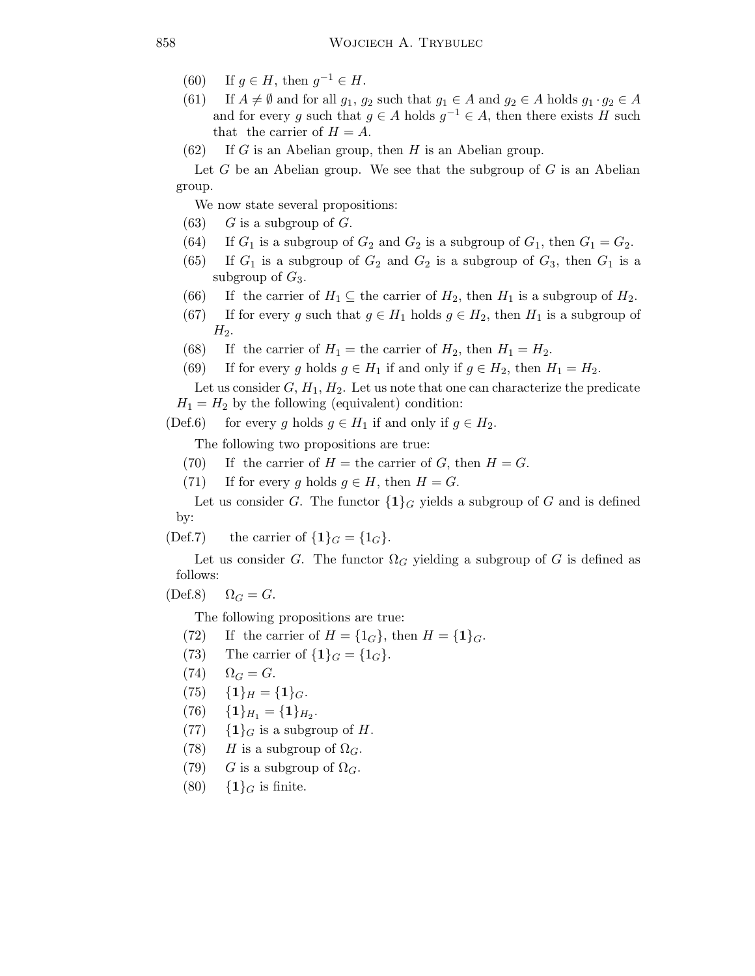- (60) If  $g \in H$ , then  $g^{-1} \in H$ .
- (61) If  $A \neq \emptyset$  and for all  $g_1, g_2$  such that  $g_1 \in A$  and  $g_2 \in A$  holds  $g_1 \cdot g_2 \in A$ and for every g such that  $g \in A$  holds  $g^{-1} \in A$ , then there exists H such that the carrier of  $H = A$ .
- $(62)$  If G is an Abelian group, then H is an Abelian group.

Let  $G$  be an Abelian group. We see that the subgroup of  $G$  is an Abelian group.

We now state several propositions:

- $(63)$  G is a subgroup of G.
- (64) If  $G_1$  is a subgroup of  $G_2$  and  $G_2$  is a subgroup of  $G_1$ , then  $G_1 = G_2$ .
- (65) If  $G_1$  is a subgroup of  $G_2$  and  $G_2$  is a subgroup of  $G_3$ , then  $G_1$  is a subgroup of  $G_3$ .
- (66) If the carrier of  $H_1 \subseteq$  the carrier of  $H_2$ , then  $H_1$  is a subgroup of  $H_2$ .
- (67) If for every g such that  $g \in H_1$  holds  $g \in H_2$ , then  $H_1$  is a subgroup of  $H_2$ .
- (68) If the carrier of  $H_1$  = the carrier of  $H_2$ , then  $H_1 = H_2$ .
- (69) If for every g holds  $g \in H_1$  if and only if  $g \in H_2$ , then  $H_1 = H_2$ .

Let us consider  $G, H_1, H_2$ . Let us note that one can characterize the predicate  $H_1 = H_2$  by the following (equivalent) condition:

(Def.6) for every g holds  $g \in H_1$  if and only if  $g \in H_2$ .

The following two propositions are true:

- (70) If the carrier of  $H =$  the carrier of G, then  $H = G$ .
- (71) If for every g holds  $g \in H$ , then  $H = G$ .

Let us consider G. The functor  $\{1\}_G$  yields a subgroup of G and is defined by:

(Def.7) the carrier of  $\{1\}_G = \{1_G\}.$ 

Let us consider G. The functor  $\Omega_G$  yielding a subgroup of G is defined as follows:

 $(Def.8)$   $\Omega_G = G.$ 

The following propositions are true:

- (72) If the carrier of  $H = \{1_G\}$ , then  $H = \{\mathbf{1}\}_G$ .
- (73) The carrier of  $\{1\}_G = \{1_G\}.$
- $(74)$   $\Omega_G = G$ .
- (75)  $\{1\}_H = \{1\}_G$ .
- $(76) \quad \{1\}_{H_1} = \{1\}_{H_2}.$
- (77)  $\{1\}_G$  is a subgroup of H.
- (78) H is a subgroup of  $\Omega_G$ .
- (79) G is a subgroup of  $\Omega_G$ .
- $(80) \quad \{1\}_G$  is finite.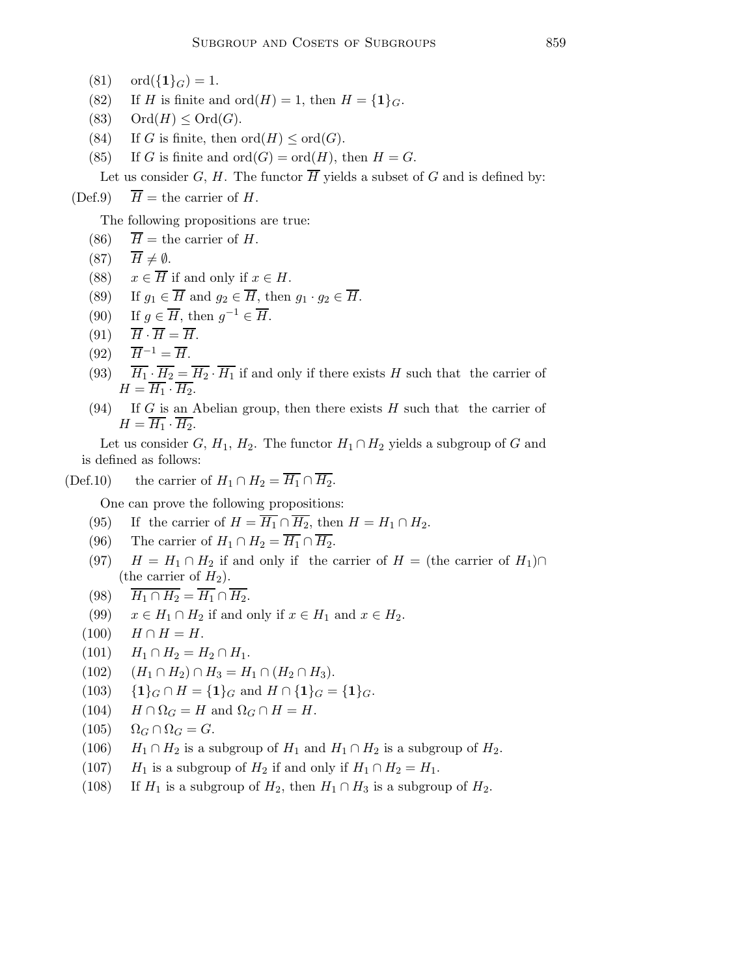- (81) ord $({\{1\}}_G) = 1$ .
- (82) If H is finite and ord $(H) = 1$ , then  $H = \{1\}_G$ .
- (83) Ord $(H) \leq$ Ord $(G)$ .
- (84) If G is finite, then  $\text{ord}(H) \leq \text{ord}(G)$ .
- (85) If G is finite and  $ord(G) = ord(H)$ , then  $H = G$ .

Let us consider G, H. The functor  $\overline{H}$  yields a subset of G and is defined by:

(Def.9)  $\overline{H}$  = the carrier of H.

The following propositions are true:

- (86)  $\overline{H}$  = the carrier of H.
- $(87)$   $\overline{H} \neq \emptyset$ .
- (88)  $x \in \overline{H}$  if and only if  $x \in H$ .
- (89) If  $g_1 \in \overline{H}$  and  $g_2 \in \overline{H}$ , then  $g_1 \cdot g_2 \in \overline{H}$ .
- (90) If  $g \in \overline{H}$ , then  $g^{-1} \in \overline{H}$ .
- (91)  $\overline{H} \cdot \overline{H} = \overline{H}$ .
- $(92)$   $\overline{H}^{-1} = \overline{H}$ .
- (93)  $\overline{H_1} \cdot \overline{H_2} = \overline{H_2} \cdot \overline{H_1}$  if and only if there exists H such that the carrier of  $H = \overline{H_1} \cdot \overline{H_2}.$
- (94) If G is an Abelian group, then there exists  $H$  such that the carrier of  $H = \overline{H_1} \cdot \overline{H_2}.$

Let us consider G,  $H_1$ ,  $H_2$ . The functor  $H_1 \cap H_2$  yields a subgroup of G and is defined as follows:

$$
(Def.10) \qquad \text{the carrier of } H_1 \cap H_2 = H_1 \cap H_2.
$$

One can prove the following propositions:

- (95) If the carrier of  $H = \overline{H_1} \cap \overline{H_2}$ , then  $H = H_1 \cap H_2$ .
- (96) The carrier of  $H_1 \cap H_2 = \overline{H_1} \cap \overline{H_2}$ .
- (97)  $H = H_1 \cap H_2$  if and only if the carrier of  $H =$  (the carrier of  $H_1$ )∩ (the carrier of  $H_2$ ).
- (98)  $\overline{H_1 \cap H_2} = \overline{H_1} \cap \overline{H_2}$ .
- (99)  $x \in H_1 \cap H_2$  if and only if  $x \in H_1$  and  $x \in H_2$ .
- $(100)$   $H \cap H = H$ .
- $(H_1 \cap H_2 = H_2 \cap H_1$ .
- $(102)$   $(H_1 \cap H_2) \cap H_3 = H_1 \cap (H_2 \cap H_3).$
- (103) {1}<sub>G</sub> ∩ H = {1}<sub>G</sub> and H ∩ {1}<sub>G</sub> = {1}<sub>G</sub>.
- (104)  $H \cap \Omega_G = H$  and  $\Omega_G \cap H = H$ .
- $(105)$   $\Omega_G \cap \Omega_G = G.$
- (106)  $H_1 \cap H_2$  is a subgroup of  $H_1$  and  $H_1 \cap H_2$  is a subgroup of  $H_2$ .
- (107)  $H_1$  is a subgroup of  $H_2$  if and only if  $H_1 \cap H_2 = H_1$ .
- (108) If  $H_1$  is a subgroup of  $H_2$ , then  $H_1 \cap H_3$  is a subgroup of  $H_2$ .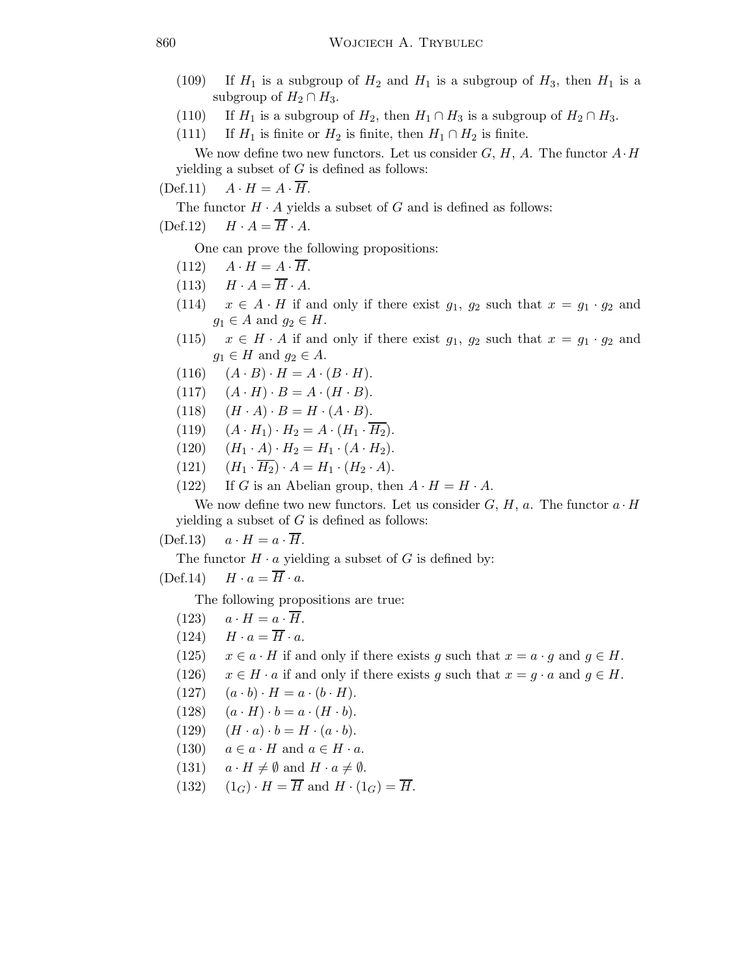- (109) If  $H_1$  is a subgroup of  $H_2$  and  $H_1$  is a subgroup of  $H_3$ , then  $H_1$  is a subgroup of  $H_2 \cap H_3$ .
- (110) If  $H_1$  is a subgroup of  $H_2$ , then  $H_1 \cap H_3$  is a subgroup of  $H_2 \cap H_3$ .
- (111) If  $H_1$  is finite or  $H_2$  is finite, then  $H_1 \cap H_2$  is finite.

We now define two new functors. Let us consider  $G, H, A$ . The functor  $A \cdot H$ yielding a subset of  $G$  is defined as follows:

 $(\text{Def.11}) \quad A \cdot H = A \cdot \overline{H}.$ 

The functor  $H \cdot A$  yields a subset of G and is defined as follows:

 $(\text{Def.12}) \quad H \cdot A = \overline{H} \cdot A.$ 

One can prove the following propositions:

- $(112)$   $A \cdot H = A \cdot \overline{H}.$
- $(113)$   $H \cdot A = \overline{H} \cdot A$ .
- (114)  $x \in A \cdot H$  if and only if there exist  $g_1, g_2$  such that  $x = g_1 \cdot g_2$  and  $g_1 \in A$  and  $g_2 \in H$ .
- (115)  $x \in H \cdot A$  if and only if there exist  $g_1, g_2$  such that  $x = g_1 \cdot g_2$  and  $g_1 \in H$  and  $g_2 \in A$ .
- (116)  $(A \cdot B) \cdot H = A \cdot (B \cdot H).$
- (117)  $(A \cdot H) \cdot B = A \cdot (H \cdot B).$
- (118)  $(H \cdot A) \cdot B = H \cdot (A \cdot B).$
- (119)  $(A \cdot H_1) \cdot H_2 = A \cdot (H_1 \cdot \overline{H_2}).$
- (120)  $(H_1 \cdot A) \cdot H_2 = H_1 \cdot (A \cdot H_2).$
- (121)  $(H_1 \cdot \overline{H_2}) \cdot A = H_1 \cdot (H_2 \cdot A).$
- (122) If G is an Abelian group, then  $A \cdot H = H \cdot A$ .

We now define two new functors. Let us consider  $G, H, a$ . The functor  $a \cdot H$ yielding a subset of  $G$  is defined as follows:

 $(\text{Def.13})$   $a \cdot H = a \cdot \overline{H}.$ 

The functor  $H \cdot a$  yielding a subset of G is defined by:

 $(Def.14)$   $H \cdot a = \overline{H} \cdot a$ .

The following propositions are true:

- $(123)$   $a \cdot H = a \cdot \overline{H}.$
- $(124)$   $H \cdot a = \overline{H} \cdot a$ .
- (125)  $x \in a \cdot H$  if and only if there exists g such that  $x = a \cdot g$  and  $g \in H$ .
- (126)  $x \in H \cdot a$  if and only if there exists g such that  $x = g \cdot a$  and  $g \in H$ .
- $(127)$   $(a \cdot b) \cdot H = a \cdot (b \cdot H)$ .
- (128)  $(a \cdot H) \cdot b = a \cdot (H \cdot b).$
- (129)  $(H \cdot a) \cdot b = H \cdot (a \cdot b).$
- (130)  $a \in a \cdot H$  and  $a \in H \cdot a$ .
- (131)  $a \cdot H \neq \emptyset$  and  $H \cdot a \neq \emptyset$ .
- (132)  $(1_G) \cdot H = \overline{H}$  and  $H \cdot (1_G) = \overline{H}$ .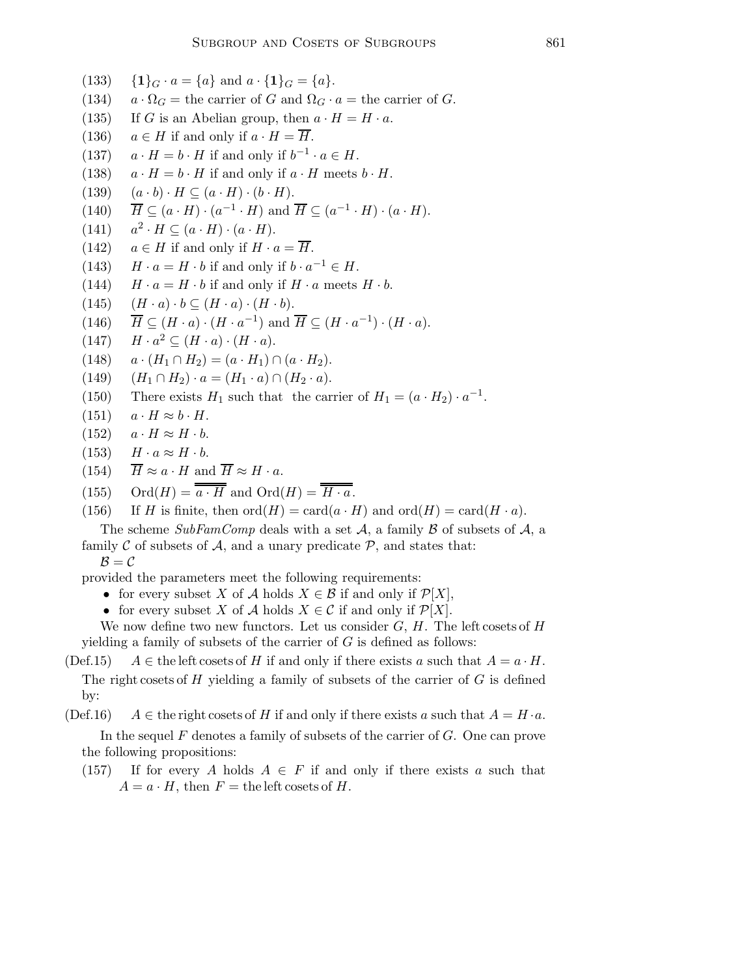- (133)  $\{1\}_G \cdot a = \{a\}$  and  $a \cdot \{1\}_G = \{a\}.$
- (134)  $a \cdot \Omega_G =$  the carrier of G and  $\Omega_G \cdot a =$  the carrier of G.
- (135) If G is an Abelian group, then  $a \cdot H = H \cdot a$ .
- (136)  $a \in H$  if and only if  $a \cdot H = \overline{H}$ .
- (137)  $a \cdot H = b \cdot H$  if and only if  $b^{-1} \cdot a \in H$ .
- (138)  $a \cdot H = b \cdot H$  if and only if  $a \cdot H$  meets  $b \cdot H$ .
- (139)  $(a \cdot b) \cdot H \subseteq (a \cdot H) \cdot (b \cdot H).$
- (140)  $\overline{H} \subseteq (a \cdot H) \cdot (a^{-1} \cdot H)$  and  $\overline{H} \subseteq (a^{-1} \cdot H) \cdot (a \cdot H)$ .
- $(141)$  $^{2} \cdot H \subseteq (a \cdot H) \cdot (a \cdot H).$
- (142)  $a \in H$  if and only if  $H \cdot a = \overline{H}$ .
- (143)  $H \cdot a = H \cdot b$  if and only if  $b \cdot a^{-1} \in H$ .
- (144)  $H \cdot a = H \cdot b$  if and only if  $H \cdot a$  meets  $H \cdot b$ .
- (145)  $(H \cdot a) \cdot b \subseteq (H \cdot a) \cdot (H \cdot b).$
- (146)  $\overline{H} \subseteq (H \cdot a) \cdot (H \cdot a^{-1})$  and  $\overline{H} \subseteq (H \cdot a^{-1}) \cdot (H \cdot a)$ .
- (147)  $H \cdot a^2 \subseteq (H \cdot a) \cdot (H \cdot a)$ .
- (148)  $a \cdot (H_1 \cap H_2) = (a \cdot H_1) \cap (a \cdot H_2).$
- (149)  $(H_1 \cap H_2) \cdot a = (H_1 \cdot a) \cap (H_2 \cdot a).$
- (150) There exists  $H_1$  such that the carrier of  $H_1 = (a \cdot H_2) \cdot a^{-1}$ .
- $(151)$   $a \cdot H \approx b \cdot H$ .
- (152)  $a \cdot H \approx H \cdot b$ .
- $(153)$   $H \cdot a \approx H \cdot b$ .
- (154)  $\overline{H} \approx a \cdot H$  and  $\overline{H} \approx H \cdot a$ .
- (155) Ord $(H) = \overline{\overline{a \cdot H}}$  and  $\text{Ord}(H) = \overline{\overline{H \cdot a}}$ .
- (156) If H is finite, then  $\text{ord}(H) = \text{card}(a \cdot H)$  and  $\text{ord}(H) = \text{card}(H \cdot a)$ .

The scheme SubFamComp deals with a set A, a family B of subsets of A, a family C of subsets of  $\mathcal{A}$ , and a unary predicate  $\mathcal{P}$ , and states that:

$$
\mathcal{B}=\mathcal{C}
$$

provided the parameters meet the following requirements:

- for every subset X of A holds  $X \in \mathcal{B}$  if and only if  $\mathcal{P}[X]$ ,
- for every subset X of A holds  $X \in \mathcal{C}$  if and only if  $\mathcal{P}[X]$ .

We now define two new functors. Let us consider  $G, H$ . The left cosets of  $H$ yielding a family of subsets of the carrier of  $G$  is defined as follows:

- (Def.15)  $A \in$  the left cosets of H if and only if there exists a such that  $A = a \cdot H$ . The right cosets of H yielding a family of subsets of the carrier of  $G$  is defined by:
- (Def.16)  $A \in$  the right cosets of H if and only if there exists a such that  $A = H \cdot a$ .

In the sequel  $F$  denotes a family of subsets of the carrier of  $G$ . One can prove the following propositions:

(157) If for every A holds  $A \in F$  if and only if there exists a such that  $A = a \cdot H$ , then  $F =$  the left cosets of H.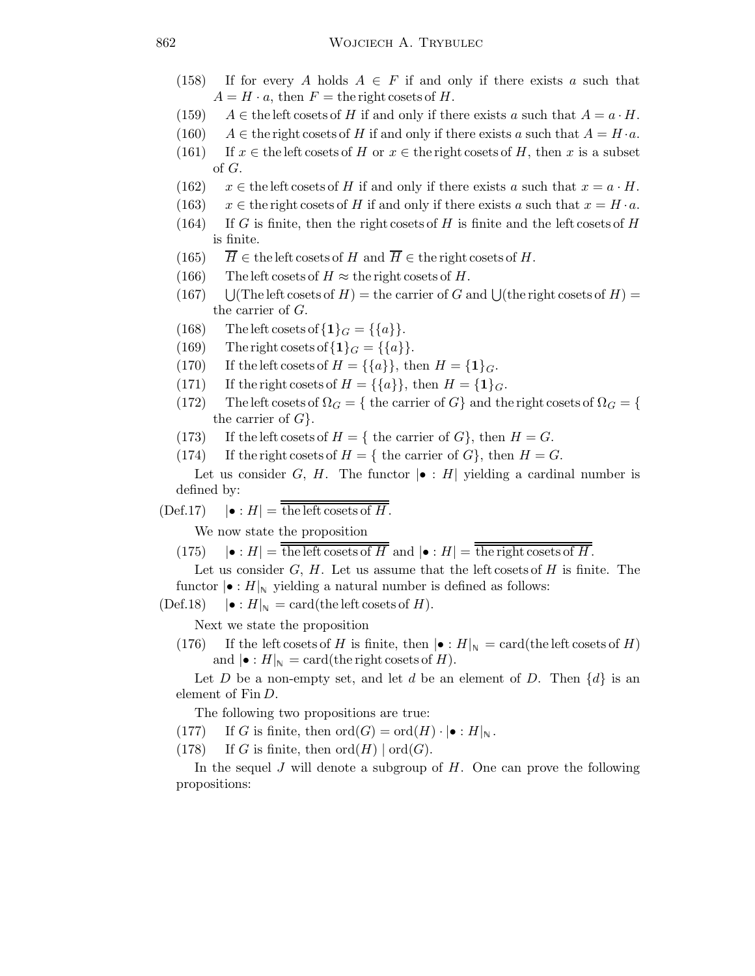- (158) If for every A holds  $A \in F$  if and only if there exists a such that  $A = H \cdot a$ , then  $F =$  the right cosets of H.
- (159)  $A \in$  the left cosets of H if and only if there exists a such that  $A = a \cdot H$ .
- (160)  $A \in$  the right cosets of H if and only if there exists a such that  $A = H \cdot a$ .
- (161) If  $x \in$  the left cosets of H or  $x \in$  the right cosets of H, then x is a subset of G.
- (162)  $x \in$  the left cosets of H if and only if there exists a such that  $x = a \cdot H$ .
- (163)  $x \in$  the right cosets of H if and only if there exists a such that  $x = H \cdot a$ .
- (164) If G is finite, then the right cosets of H is finite and the left cosets of H is finite.
- (165)  $\overline{H} \in \text{the left cosets of } H \text{ and } \overline{H} \in \text{the right cosets of } H.$
- (166) The left cosets of  $H \approx$  the right cosets of H.
- $(167)$ (The left cosets of  $H$ ) = the carrier of G and  $\bigcup$  (the right cosets of  $H$ ) = the carrier of G.
- (168) The left cosets of  $\{1\}_G = \{\{a\}\}.$
- (169) The right cosets of  $\{1\}_G = \{\{a\}\}.$
- (170) If the left cosets of  $H = \{\{a\}\}\$ , then  $H = \{1\}_G$ .
- (171) If the right cosets of  $H = \{\{a\}\}\$ , then  $H = \{1\}$ <sub>G</sub>.
- (172) The left cosets of  $\Omega_G = \{$  the carrier of G $\}$  and the right cosets of  $\Omega_G = \{$ the carrier of  $G$ .
- (173) If the left cosets of  $H = \{$  the carrier of  $G\}$ , then  $H = G$ .
- (174) If the right cosets of  $H = \{$  the carrier of  $G\}$ , then  $H = G$ . Let us consider G, H. The functor  $|\bullet : H|$  yielding a cardinal number is

defined by:

 $(\text{Def.17}) \quad |\bullet : H| = \overline{\text{the left cosets of } H}.$ 

We now state the proposition

(175)  $|\bullet : H| = \text{the left cosets of } H$  and  $|\bullet : H| = \text{the right cosets of } H$ .

Let us consider  $G, H$ . Let us assume that the left cosets of  $H$  is finite. The functor  $|\bullet : H|_N$  yielding a natural number is defined as follows:

 $(Def.18)$   $|\bullet : H|_{\mathbb{N}} = \text{card}(\text{the left cosets of } H).$ 

Next we state the proposition

(176) If the left cosets of H is finite, then  $|\bullet : H|_{\mathbb{N}} = \text{card}(\text{the left cosets of } H)$ and  $|\bullet : H|_{\mathbb{N}} = \text{card}(\text{the right cosets of } H).$ 

Let D be a non-empty set, and let d be an element of D. Then  $\{d\}$  is an element of Fin D.

The following two propositions are true:

- (177) If G is finite, then  $\mathrm{ord}(G) = \mathrm{ord}(H) \cdot |\bullet : H|_{\mathbb{N}}$ .
- (178) If G is finite, then  $\mathrm{ord}(H) \mid \mathrm{ord}(G)$ .

In the sequel  $J$  will denote a subgroup of  $H$ . One can prove the following propositions: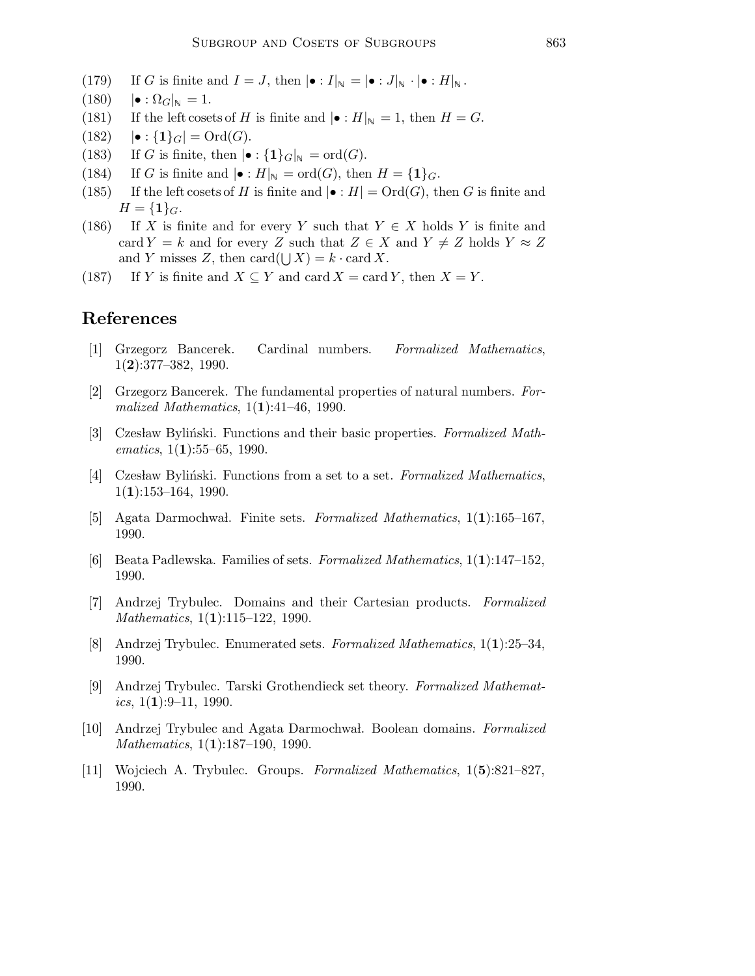- (179) If G is finite and  $I = J$ , then  $|\bullet : I|_{\mathbb{N}} = |\bullet : J|_{\mathbb{N}} \cdot |\bullet : H|_{\mathbb{N}}$ .
- $(180)$   $|\bullet : \Omega_G|_{\mathbb{N}} = 1.$
- (181) If the left cosets of H is finite and  $|\bullet : H|_{\mathbb{N}} = 1$ , then  $H = G$ .
- $(182)$   $|\bullet : \{1\}_G| = \text{Ord}(G).$
- (183) If G is finite, then  $|\bullet : \{1\}_G|_{\mathbb{N}} = \text{ord}(G)$ .
- (184) If G is finite and  $|\bullet : H|_{\mathbb{N}} = \text{ord}(G)$ , then  $H = \{1\}_G$ .
- (185) If the left cosets of H is finite and  $\bullet : H = \text{Ord}(G)$ , then G is finite and  $H = \{1\}_G.$
- (186) If X is finite and for every Y such that  $Y \in X$  holds Y is finite and card  $Y = k$  and for every Z such that  $Z \in X$  and  $Y \neq Z$  holds  $Y \approx Z$ and Y misses Z, then card $(\bigcup X) = k \cdot \text{card } X$ .
- (187) If Y is finite and  $X \subseteq Y$  and card  $X = \text{card } Y$ , then  $X = Y$ .

## References

- [1] Grzegorz Bancerek. Cardinal numbers. Formalized Mathematics,  $1(2):377-382, 1990.$
- [2] Grzegorz Bancerek. The fundamental properties of natural numbers. Formalized Mathematics,  $1(1):41-46$ , 1990.
- [3] Czesław Byliński. Functions and their basic properties. Formalized Mathematics,  $1(1):55-65$ , 1990.
- [4] Czesław Byliński. Functions from a set to a set. Formalized Mathematics,  $1(1):153-164, 1990.$
- [5] Agata Darmochwal. Finite sets. Formalized Mathematics,  $1(1):165-167$ , 1990.
- [6] Beata Padlewska. Families of sets. Formalized Mathematics, 1(1):147–152, 1990.
- [7] Andrzej Trybulec. Domains and their Cartesian products. Formalized Mathematics, 1(1):115–122, 1990.
- [8] Andrzej Trybulec. Enumerated sets. Formalized Mathematics, 1(1):25–34, 1990.
- [9] Andrzej Trybulec. Tarski Grothendieck set theory. Formalized Mathematics,  $1(1):9-11$ , 1990.
- [10] Andrzej Trybulec and Agata Darmochwał. Boolean domains. Formalized Mathematics, 1(1):187–190, 1990.
- [11] Wojciech A. Trybulec. Groups. Formalized Mathematics, 1(5):821–827, 1990.